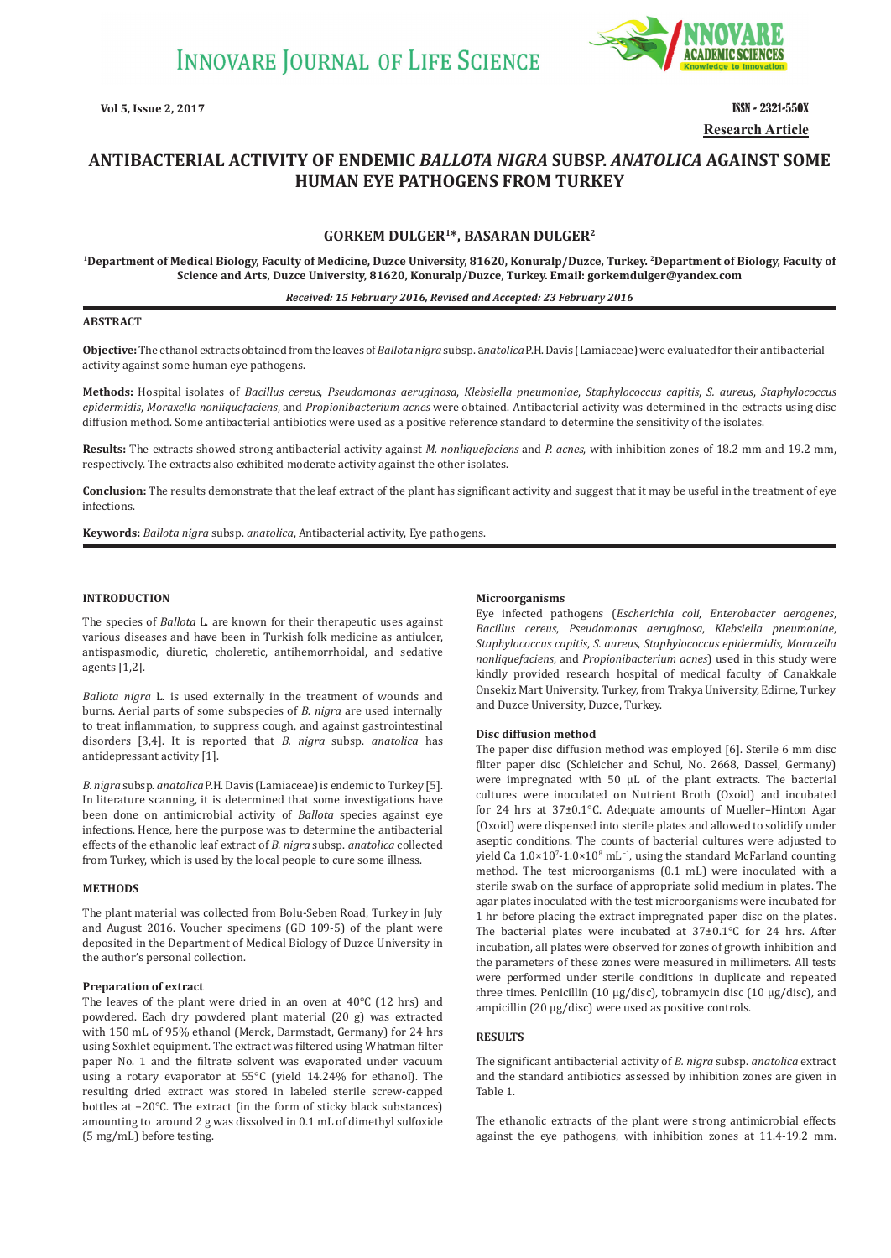

**Vol 5, Issue 2, 2017** ISSN - 2321-550X **Research Article**

# **ANTIBACTERIAL ACTIVITY OF ENDEMIC** *BALLOTA NIGRA* **SUBSP.** *ANATOLICA* **AGAINST SOME HUMAN EYE PATHOGENS FROM TURKEY**

# **GORKEM DULGER1\*, BASARAN DULGER2**

**1Department of Medical Biology, Faculty of Medicine, Duzce University, 81620, Konuralp/Duzce, Turkey. 2Department of Biology, Faculty of Science and Arts, Duzce University, 81620, Konuralp/Duzce, Turkey. Email: gorkemdulger@yandex.com**

#### *Received: 15 February 2016, Revised and Accepted: 23 February 2016*

#### **ABSTRACT**

**Objective:** The ethanol extracts obtained from the leaves of *Ballota nigra* subsp. a*natolica* P.H. Davis (Lamiaceae) were evaluated for their antibacterial activity against some human eye pathogens.

**Methods:** Hospital isolates of *Bacillus cereus*, *Pseudomonas aeruginosa*, *Klebsiella pneumoniae*, *Staphylococcus capitis*, *S. aureus*, *Staphylococcus epidermidis*, *Moraxella nonliquefaciens*, and *Propionibacterium acnes* were obtained. Antibacterial activity was determined in the extracts using disc diffusion method. Some antibacterial antibiotics were used as a positive reference standard to determine the sensitivity of the isolates.

**Results:** The extracts showed strong antibacterial activity against *M. nonliquefaciens* and *P. acnes*, with inhibition zones of 18.2 mm and 19.2 mm, respectively. The extracts also exhibited moderate activity against the other isolates.

**Conclusion:** The results demonstrate that the leaf extract of the plant has significant activity and suggest that it may be useful in the treatment of eye infections.

**Keywords:** *Ballota nigra* subsp. *anatolica*, Antibacterial activity, Eye pathogens.

#### **INTRODUCTION**

The species of *Ballota* L. are known for their therapeutic uses against various diseases and have been in Turkish folk medicine as antiulcer, antispasmodic, diuretic, choleretic, antihemorrhoidal, and sedative agents [1,2].

*Ballota nigra* L. is used externally in the treatment of wounds and burns. Aerial parts of some subspecies of *B. nigra* are used internally to treat inflammation, to suppress cough, and against gastrointestinal disorders [3,4]. It is reported that *B. nigra* subsp. *anatolica* has antidepressant activity [1].

*B. nigra* subsp. *anatolica* P.H. Davis (Lamiaceae) is endemic to Turkey [5]. In literature scanning, it is determined that some investigations have been done on antimicrobial activity of *Ballota* species against eye infections. Hence, here the purpose was to determine the antibacterial effects of the ethanolic leaf extract of *B. nigra* subsp. *anatolica* collected from Turkey, which is used by the local people to cure some illness.

#### **METHODS**

The plant material was collected from Bolu-Seben Road, Turkey in July and August 2016. Voucher specimens (GD 109-5) of the plant were deposited in the Department of Medical Biology of Duzce University in the author's personal collection.

## **Preparation of extract**

The leaves of the plant were dried in an oven at 40°C (12 hrs) and powdered. Each dry powdered plant material (20 g) was extracted with 150 mL of 95% ethanol (Merck, Darmstadt, Germany) for 24 hrs using Soxhlet equipment. The extract was filtered using Whatman filter paper No. 1 and the filtrate solvent was evaporated under vacuum using a rotary evaporator at 55°C (yield 14.24% for ethanol). The resulting dried extract was stored in labeled sterile screw-capped bottles at −20°C. The extract (in the form of sticky black substances) amounting to around 2 g was dissolved in 0.1 mL of dimethyl sulfoxide (5 mg/mL) before testing.

### **Microorganisms**

Eye infected pathogens (*Escherichia coli*, *Enterobacter aerogenes*, *Bacillus cereus*, *Pseudomonas aeruginosa*, *Klebsiella pneumoniae*, *Staphylococcus capitis*, *S. aureus*, *Staphylococcus epidermidis*, *Moraxella nonliquefaciens*, and *Propionibacterium acnes*) used in this study were kindly provided research hospital of medical faculty of Canakkale Onsekiz Mart University, Turkey, from Trakya University, Edirne, Turkey and Duzce University, Duzce, Turkey.

#### **Disc diffusion method**

The paper disc diffusion method was employed [6]. Sterile 6 mm disc filter paper disc (Schleicher and Schul, No. 2668, Dassel, Germany) were impregnated with 50 µL of the plant extracts. The bacterial cultures were inoculated on Nutrient Broth (Oxoid) and incubated for 24 hrs at 37±0.1°C. Adequate amounts of Mueller–Hinton Agar (Oxoid) were dispensed into sterile plates and allowed to solidify under aseptic conditions. The counts of bacterial cultures were adjusted to yield Ca  $1.0\times10^{7}$ - $1.0\times10^{8}$  mL<sup>-1</sup>, using the standard McFarland counting method. The test microorganisms (0.1 mL) were inoculated with a sterile swab on the surface of appropriate solid medium in plates. The agar plates inoculated with the test microorganisms were incubated for 1 hr before placing the extract impregnated paper disc on the plates. The bacterial plates were incubated at 37±0.1°C for 24 hrs. After incubation, all plates were observed for zones of growth inhibition and the parameters of these zones were measured in millimeters. All tests were performed under sterile conditions in duplicate and repeated three times. Penicillin (10 µg/disc), tobramycin disc (10 µg/disc), and ampicillin (20 µg/disc) were used as positive controls.

## **RESULTS**

The significant antibacterial activity of *B. nigra* subsp. *anatolica* extract and the standard antibiotics assessed by inhibition zones are given in Table 1.

The ethanolic extracts of the plant were strong antimicrobial effects against the eye pathogens, with inhibition zones at 11.4-19.2 mm.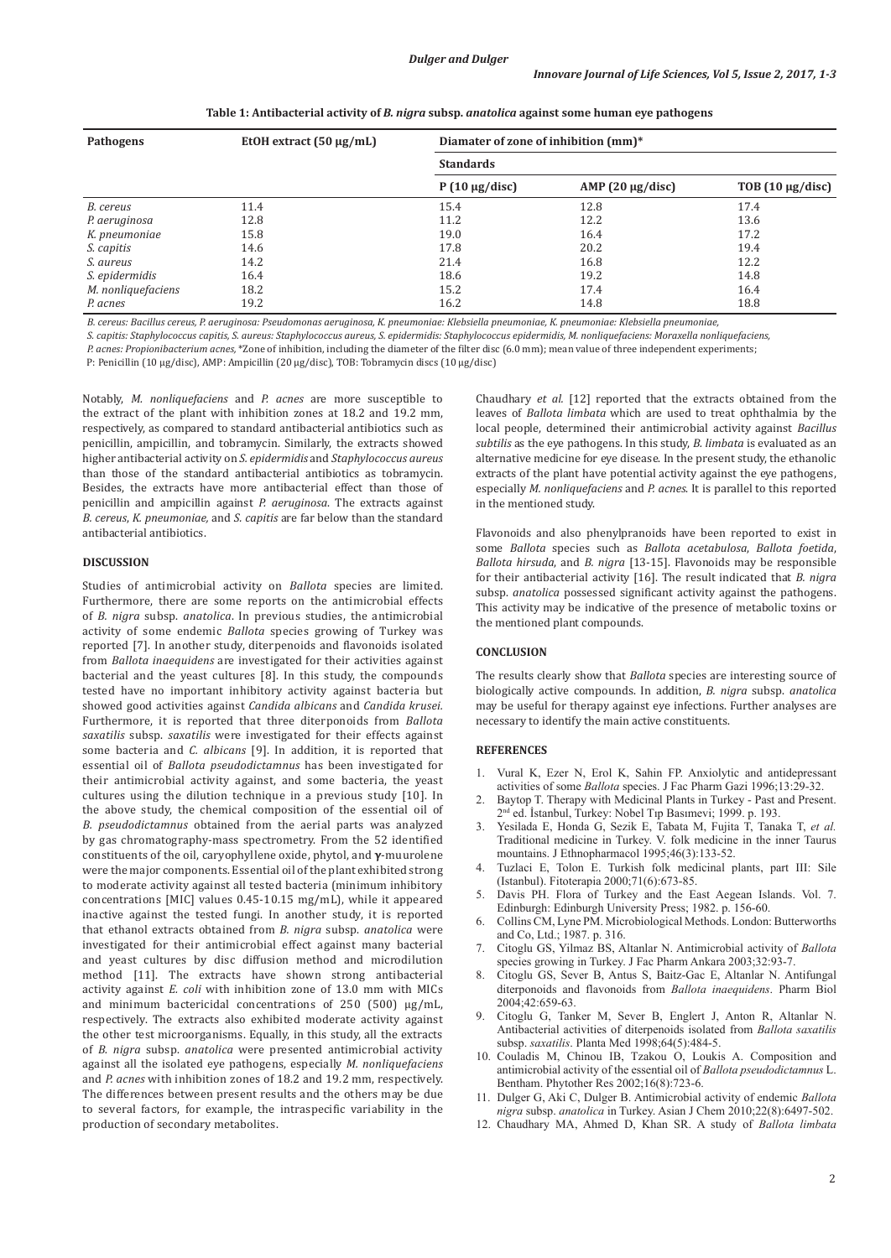| <b>Pathogens</b>      | EtOH extract $(50 \mu g/mL)$ | Diamater of zone of inhibition (mm)* |                       |                       |
|-----------------------|------------------------------|--------------------------------------|-----------------------|-----------------------|
|                       |                              | <b>Standards</b>                     |                       |                       |
|                       |                              | $P(10 \mu g/disc)$                   | AMP $(20 \mu g/disc)$ | TOB $(10 \mu g/disc)$ |
| B. cereus             | 11.4                         | 15.4                                 | 12.8                  | 17.4                  |
| P. aeruginosa         | 12.8                         | 11.2                                 | 12.2                  | 13.6                  |
| K. pneumoniae         | 15.8                         | 19.0                                 | 16.4                  | 17.2                  |
| S. capitis            | 14.6                         | 17.8                                 | 20.2                  | 19.4                  |
| S. aureus             | 14.2                         | 21.4                                 | 16.8                  | 12.2                  |
| <i>S. epidermidis</i> | 16.4                         | 18.6                                 | 19.2                  | 14.8                  |
| M. nonliquefaciens    | 18.2                         | 15.2                                 | 17.4                  | 16.4                  |
| P. acnes              | 19.2                         | 16.2                                 | 14.8                  | 18.8                  |

**Table 1: Antibacterial activity of** *B. nigra* **subsp.** *anatolica* **against some human eye pathogens**

*B. cereus: Bacillus cereus, P. aeruginosa: Pseudomonas aeruginosa, K. pneumoniae: Klebsiella pneumoniae, K. pneumoniae: Klebsiella pneumoniae,* 

*S. capitis: Staphylococcus capitis, S. aureus: Staphylococcus aureus, S. epidermidis: Staphylococcus epidermidis, M. nonliquefaciens: Moraxella nonliquefaciens,* 

*P. acnes: Propionibacterium acnes,* \*Zone of inhibition, including the diameter of the filter disc (6.0 mm); mean value of three independent experiments;

P: Penicillin (10 μg/disc), AMP: Ampicillin (20 μg/disc), TOB: Tobramycin discs (10 μg/disc)

Notably, *M. nonliquefaciens* and *P. acnes* are more susceptible to the extract of the plant with inhibition zones at 18.2 and 19.2 mm, respectively, as compared to standard antibacterial antibiotics such as penicillin, ampicillin, and tobramycin. Similarly, the extracts showed higher antibacterial activity on *S. epidermidis* and *Staphylococcus aureus* than those of the standard antibacterial antibiotics as tobramycin. Besides, the extracts have more antibacterial effect than those of penicillin and ampicillin against *P. aeruginosa*. The extracts against *B. cereus*, *K. pneumoniae,* and *S. capitis* are far below than the standard antibacterial antibiotics.

## **DISCUSSION**

Studies of antimicrobial activity on *Ballota* species are limited. Furthermore, there are some reports on the antimicrobial effects of *B. nigra* subsp. *anatolica*. In previous studies, the antimicrobial activity of some endemic *Ballota* species growing of Turkey was reported [7]. In another study, diterpenoids and flavonoids isolated from *Ballota inaequidens* are investigated for their activities against bacterial and the yeast cultures [8]. In this study, the compounds tested have no important inhibitory activity against bacteria but showed good activities against *Candida albicans* and *Candida krusei.* Furthermore, it is reported that three diterponoids from *Ballota saxatilis* subsp. *saxatilis* were investigated for their effects against some bacteria and *C. albicans* [9]. In addition, it is reported that essential oil of *Ballota pseudodictamnus* has been investigated for their antimicrobial activity against, and some bacteria, the yeast cultures using the dilution technique in a previous study [10]. In the above study, the chemical composition of the essential oil of *B. pseudodictamnus* obtained from the aerial parts was analyzed by gas chromatography-mass spectrometry. From the 52 identified constituents of the oil, caryophyllene oxide, phytol, and **γ**-muurolene were the major components. Essential oil of the plant exhibited strong to moderate activity against all tested bacteria (minimum inhibitory concentrations [MIC] values 0.45-10.15 mg/mL), while it appeared inactive against the tested fungi. In another study, it is reported that ethanol extracts obtained from *B. nigra* subsp. *anatolica* were investigated for their antimicrobial effect against many bacterial and yeast cultures by disc diffusion method and microdilution method [11]. The extracts have shown strong antibacterial activity against *E. coli* with inhibition zone of 13.0 mm with MICs and minimum bactericidal concentrations of 250 (500) µg/mL, respectively. The extracts also exhibited moderate activity against the other test microorganisms. Equally, in this study, all the extracts of *B. nigra* subsp. *anatolica* were presented antimicrobial activity against all the isolated eye pathogens, especially *M. nonliquefaciens* and *P. acnes* with inhibition zones of 18.2 and 19.2 mm, respectively. The differences between present results and the others may be due to several factors, for example, the intraspecific variability in the production of secondary metabolites.

Chaudhary *et al.* [12] reported that the extracts obtained from the leaves of *Ballota limbata* which are used to treat ophthalmia by the local people, determined their antimicrobial activity against *Bacillus subtilis* as the eye pathogens. In this study, *B. limbata* is evaluated as an alternative medicine for eye disease. In the present study, the ethanolic extracts of the plant have potential activity against the eye pathogens, especially *M. nonliquefaciens* and *P. acnes*. It is parallel to this reported in the mentioned study.

Flavonoids and also phenylpranoids have been reported to exist in some *Ballota* species such as *Ballota acetabulosa*, *Ballota foetida*, *Ballota hirsuda*, and *B. nigra* [13-15]. Flavonoids may be responsible for their antibacterial activity [16]. The result indicated that *B. nigra* subsp. *anatolica* possessed significant activity against the pathogens. This activity may be indicative of the presence of metabolic toxins or the mentioned plant compounds.

# **CONCLUSION**

The results clearly show that *Ballota* species are interesting source of biologically active compounds. In addition, *B. nigra* subsp. *anatolica* may be useful for therapy against eye infections. Further analyses are necessary to identify the main active constituents.

### **REFERENCES**

- 1. Vural K, Ezer N, Erol K, Sahin FP. Anxiolytic and antidepressant activities of some *Ballota* species. J Fac Pharm Gazi 1996;13:29-32.
- 2. Baytop T. Therapy with Medicinal Plants in Turkey Past and Present. <sup>1</sup> ed. İstanbul, Turkey: Nobel Tıp Basımevi; 1999. p. 193.
- 3. Yesilada E, Honda G, Sezik E, Tabata M, Fujita T, Tanaka T, *et al.* Traditional medicine in Turkey. V. folk medicine in the inner Taurus mountains. J Ethnopharmacol 1995;46(3):133-52.
- 4. Tuzlaci E, Tolon E. Turkish folk medicinal plants, part III: Sile (Istanbul). Fitoterapia 2000;71(6):673-85.
- 5. Davis PH. Flora of Turkey and the East Aegean Islands. Vol. 7. Edinburgh: Edinburgh University Press; 1982. p. 156-60.
- 6. Collins CM, Lyne PM. Microbiological Methods. London: Butterworths and Co, Ltd.; 1987. p. 316.
- 7. Citoglu GS, Yilmaz BS, Altanlar N. Antimicrobial activity of *Ballota*  species growing in Turkey. J Fac Pharm Ankara 2003;32:93-7.
- 8. Citoglu GS, Sever B, Antus S, Baitz-Gac E, Altanlar N. Antifungal diterponoids and flavonoids from *Ballota inaequidens*. Pharm Biol 2004;42:659-63.
- 9. Citoglu G, Tanker M, Sever B, Englert J, Anton R, Altanlar N. Antibacterial activities of diterpenoids isolated from *Ballota saxatilis* subsp. *saxatilis*. Planta Med 1998;64(5):484-5.
- 10. Couladis M, Chinou IB, Tzakou O, Loukis A. Composition and antimicrobial activity of the essential oil of *Ballota pseudodictamnus* L. Bentham. Phytother Res 2002;16(8):723-6.
- 11. Dulger G, Aki C, Dulger B. Antimicrobial activity of endemic *Ballota nigra* subsp. *anatolica* in Turkey. Asian J Chem 2010;22(8):6497-502.
- 12. Chaudhary MA, Ahmed D, Khan SR. A study of *Ballota limbata*